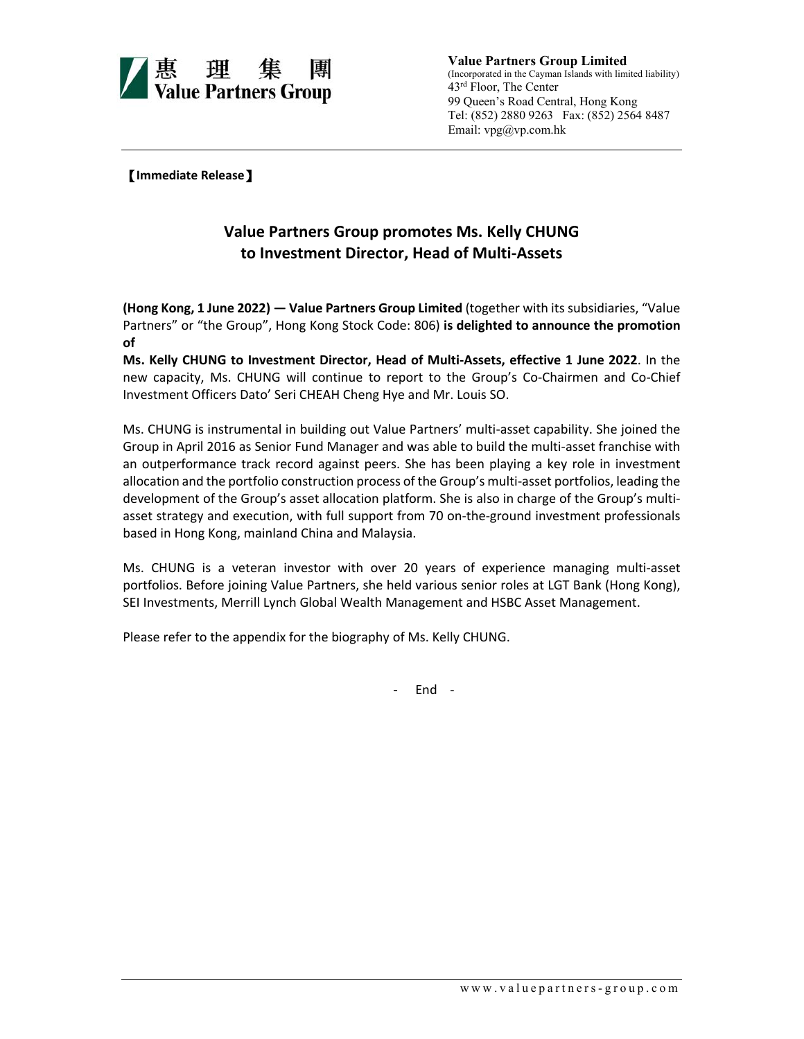

**Value Partners Group Limited**  (Incorporated in the Cayman Islands with limited liability) 43rd Floor, The Center 99 Queen's Road Central, Hong Kong Tel: (852) 2880 9263 Fax: (852) 2564 8487 Email: vpg@vp.com.hk

【**Immediate Release**】

## **Value Partners Group promotes Ms. Kelly CHUNG to Investment Director, Head of Multi-Assets**

**(Hong Kong, 1 June 2022) — Value Partners Group Limited** (together with its subsidiaries, "Value Partners" or "the Group", Hong Kong Stock Code: 806) **is delighted to announce the promotion of** 

**Ms. Kelly CHUNG to Investment Director, Head of Multi-Assets, effective 1 June 2022**. In the new capacity, Ms. CHUNG will continue to report to the Group's Co-Chairmen and Co-Chief Investment Officers Dato' Seri CHEAH Cheng Hye and Mr. Louis SO.

Ms. CHUNG is instrumental in building out Value Partners' multi-asset capability. She joined the Group in April 2016 as Senior Fund Manager and was able to build the multi-asset franchise with an outperformance track record against peers. She has been playing a key role in investment allocation and the portfolio construction process of the Group's multi-asset portfolios, leading the development of the Group's asset allocation platform. She is also in charge of the Group's multiasset strategy and execution, with full support from 70 on-the-ground investment professionals based in Hong Kong, mainland China and Malaysia.

Ms. CHUNG is a veteran investor with over 20 years of experience managing multi-asset portfolios. Before joining Value Partners, she held various senior roles at LGT Bank (Hong Kong), SEI Investments, Merrill Lynch Global Wealth Management and HSBC Asset Management.

Please refer to the appendix for the biography of Ms. Kelly CHUNG.

- End -